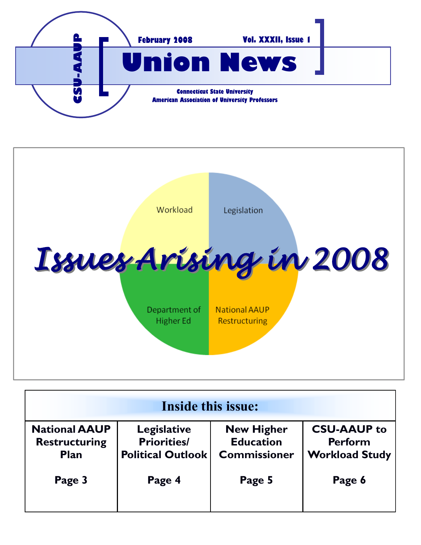



| Inside this issue:                                          |                                                                      |                                                              |                                                               |
|-------------------------------------------------------------|----------------------------------------------------------------------|--------------------------------------------------------------|---------------------------------------------------------------|
| <b>National AAUP</b><br><b>Restructuring</b><br><b>Plan</b> | <b>Legislative</b><br><b>Priorities/</b><br><b>Political Outlook</b> | <b>New Higher</b><br><b>Education</b><br><b>Commissioner</b> | <b>CSU-AAUP to</b><br><b>Perform</b><br><b>Workload Study</b> |
| Page 3                                                      | Page 4                                                               | Page 5                                                       | Page 6                                                        |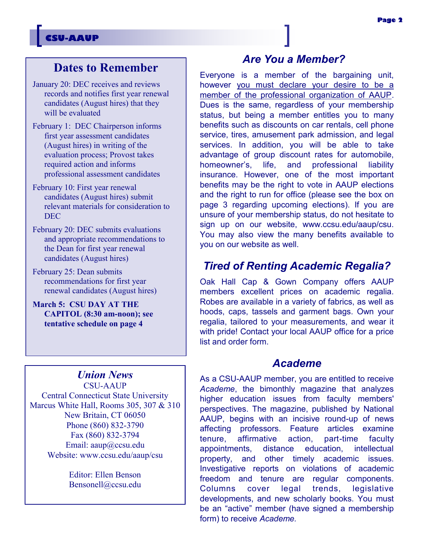### **CSU-AAUP**

## **Dates to Remember**

- January 20: DEC receives and reviews records and notifies first year renewal candidates (August hires) that they will be evaluated
- February 1: DEC Chairperson informs first year assessment candidates (August hires) in writing of the evaluation process; Provost takes required action and informs professional assessment candidates
- February 10: First year renewal candidates (August hires) submit relevant materials for consideration to DEC
- February 20: DEC submits evaluations and appropriate recommendations to the Dean for first year renewal candidates (August hires)
- February 25: Dean submits recommendations for first year renewal candidates (August hires)
- **March 5: CSU DAY AT THE CAPITOL (8:30 am-noon); see tentative schedule on page 4**

# *Union News*

CSU-AAUP Central Connecticut State University Marcus White Hall, Rooms 305, 307 & 310 New Britain, CT 06050 Phone (860) 832-3790 Fax (860) 832-3794 Email: aaup@ccsu.edu Website: www.ccsu.edu/aaup/csu

> Editor: Ellen Benson Bensonell@ccsu.edu

### *Are You a Member?*

Everyone is a member of the bargaining unit, however you must declare your desire to be a member of the professional organization of AAUP. Dues is the same, regardless of your membership status, but being a member entitles you to many benefits such as discounts on car rentals, cell phone service, tires, amusement park admission, and legal services. In addition, you will be able to take advantage of group discount rates for automobile, homeowner's, life, and professional liability insurance. However, one of the most important benefits may be the right to vote in AAUP elections and the right to run for office (please see the box on page 3 regarding upcoming elections). If you are unsure of your membership status, do not hesitate to sign up on our website, www.ccsu.edu/aaup/csu. You may also view the many benefits available to you on our website as well.

### *Tired of Renting Academic Regalia?*

Oak Hall Cap & Gown Company offers AAUP members excellent prices on academic regalia. Robes are available in a variety of fabrics, as well as hoods, caps, tassels and garment bags. Own your regalia, tailored to your measurements, and wear it with pride! Contact your local AAUP office for a price list and order form.

### *Academe*

As a CSU-AAUP member, you are entitled to receive *Academe*, the bimonthly magazine that analyzes higher education issues from faculty members' perspectives. The magazine, published by National AAUP, begins with an incisive round-up of news affecting professors. Feature articles examine tenure, affirmative action, part-time faculty appointments, distance education, intellectual property, and other timely academic issues. Investigative reports on violations of academic freedom and tenure are regular components. Columns cover legal trends, legislative developments, and new scholarly books. You must be an "active" member (have signed a membership form) to receive *Academe.*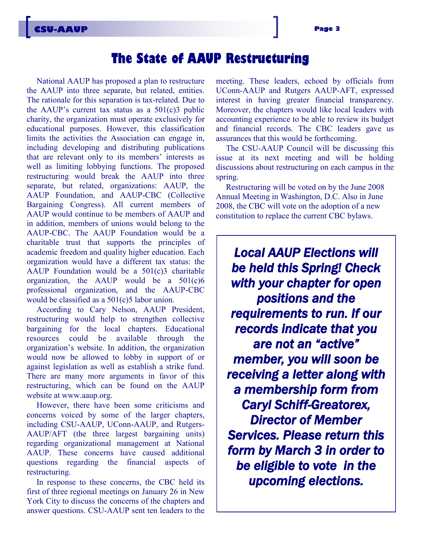# **The State of AAUP Restructuring**

National AAUP has proposed a plan to restructure the AAUP into three separate, but related, entities. The rationale for this separation is tax-related. Due to the AAUP's current tax status as a  $501(c)3$  public charity, the organization must operate exclusively for educational purposes. However, this classification limits the activities the Association can engage in, including developing and distributing publications that are relevant only to its members' interests as well as limiting lobbying functions. The proposed restructuring would break the AAUP into three separate, but related, organizations: AAUP, the AAUP Foundation, and AAUP-CBC (Collective Bargaining Congress). All current members of AAUP would continue to be members of AAUP and in addition, members of unions would belong to the AAUP-CBC. The AAUP Foundation would be a charitable trust that supports the principles of academic freedom and quality higher education. Each organization would have a different tax status: the AAUP Foundation would be a  $501(c)3$  charitable organization, the AAUP would be a  $501(c)6$ professional organization, and the AAUP-CBC would be classified as a  $501(c)5$  labor union.

According to Cary Nelson, AAUP President, restructuring would help to strengthen collective bargaining for the local chapters. Educational resources could be available through the organization's website. In addition, the organization would now be allowed to lobby in support of or against legislation as well as establish a strike fund. There are many more arguments in favor of this restructuring, which can be found on the AAUP website at www.aaup.org.

However, there have been some criticisms and concerns voiced by some of the larger chapters, including CSU-AAUP, UConn-AAUP, and Rutgers-AAUP/AFT (the three largest bargaining units) regarding organizational management at National AAUP. These concerns have caused additional questions regarding the financial aspects of restructuring.

In response to these concerns, the CBC held its first of three regional meetings on January 26 in New York City to discuss the concerns of the chapters and answer questions. CSU-AAUP sent ten leaders to the meeting. These leaders, echoed by officials from UConn-AAUP and Rutgers AAUP-AFT, expressed interest in having greater financial transparency. Moreover, the chapters would like local leaders with accounting experience to be able to review its budget and financial records. The CBC leaders gave us assurances that this would be forthcoming.

The CSU-AAUP Council will be discussing this issue at its next meeting and will be holding discussions about restructuring on each campus in the spring.

Restructuring will be voted on by the June 2008 Annual Meeting in Washington, D.C. Also in June 2008, the CBC will vote on the adoption of a new constitution to replace the current CBC bylaws.

*Local AAUP Elections will be held this Spring! Check with your chapter for open positions and the requirements to run. If our records indicate that you are not an "active" member, you will soon be receiving a letter along with a membership form from Caryl Schiff-Greatorex, Director of Member Services. Please return this form by March 3 in order to be eligible to vote in the upcoming elections.*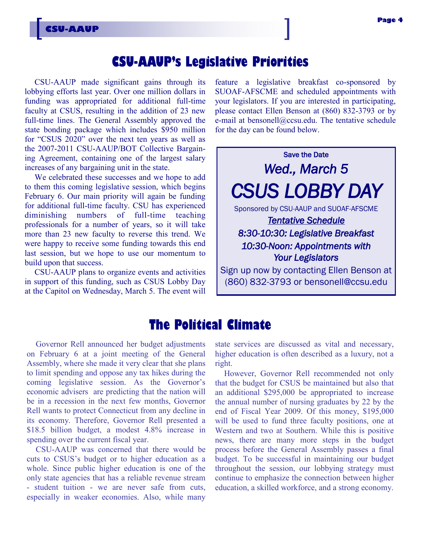# **CSU-AAUP's Legislative Priorities**

CSU-AAUP made significant gains through its lobbying efforts last year. Over one million dollars in funding was appropriated for additional full-time faculty at CSUS, resulting in the addition of 23 new full-time lines. The General Assembly approved the state bonding package which includes \$950 million for "CSUS 2020" over the next ten years as well as the 2007-2011 CSU-AAUP/BOT Collective Bargaining Agreement, containing one of the largest salary increases of any bargaining unit in the state.

**CSU-AAUP**

We celebrated these successes and we hope to add to them this coming legislative session, which begins February 6. Our main priority will again be funding for additional full-time faculty. CSU has experienced diminishing numbers of full-time teaching professionals for a number of years, so it will take more than 23 new faculty to reverse this trend. We were happy to receive some funding towards this end last session, but we hope to use our momentum to build upon that success.

CSU-AAUP plans to organize events and activities in support of this funding, such as CSUS Lobby Day at the Capitol on Wednesday, March 5. The event will

feature a legislative breakfast co-sponsored by SUOAF-AFSCME and scheduled appointments with your legislators. If you are interested in participating, please contact Ellen Benson at (860) 832-3793 or by e-mail at bensonell@ccsu.edu. The tentative schedule for the day can be found below.



## **The Political Climate**

Governor Rell announced her budget adjustments on February 6 at a joint meeting of the General Assembly, where she made it very clear that she plans to limit spending and oppose any tax hikes during the coming legislative session. As the Governor's economic advisers are predicting that the nation will be in a recession in the next few months, Governor Rell wants to protect Connecticut from any decline in its economy. Therefore, Governor Rell presented a \$18.5 billion budget, a modest 4.8% increase in spending over the current fiscal year.

CSU-AAUP was concerned that there would be cuts to CSUS's budget or to higher education as a whole. Since public higher education is one of the only state agencies that has a reliable revenue stream - student tuition - we are never safe from cuts, especially in weaker economies. Also, while many state services are discussed as vital and necessary, higher education is often described as a luxury, not a right.

However, Governor Rell recommended not only that the budget for CSUS be maintained but also that an additional \$295,000 be appropriated to increase the annual number of nursing graduates by 22 by the end of Fiscal Year 2009. Of this money, \$195,000 will be used to fund three faculty positions, one at Western and two at Southern. While this is positive news, there are many more steps in the budget process before the General Assembly passes a final budget. To be successful in maintaining our budget throughout the session, our lobbying strategy must continue to emphasize the connection between higher education, a skilled workforce, and a strong economy.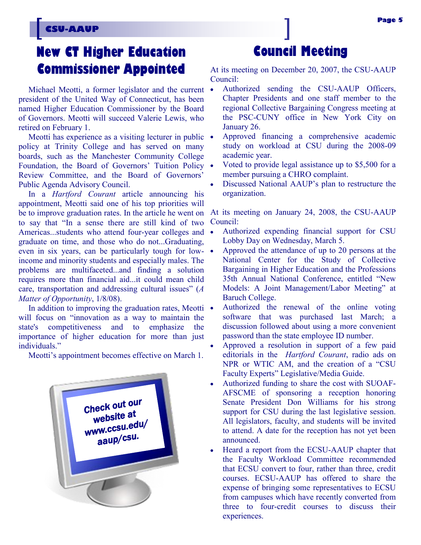### **CSU-AAUP**

# **New CT Higher Education Commissioner Appointed**

Michael Meotti, a former legislator and the current • president of the United Way of Connecticut, has been named Higher Education Commissioner by the Board of Governors. Meotti will succeed Valerie Lewis, who retired on February 1.

Meotti has experience as a visiting lecturer in public  $\bullet$ policy at Trinity College and has served on many boards, such as the Manchester Community College Foundation, the Board of Governors' Tuition Policy • Review Committee, and the Board of Governors' Public Agenda Advisory Council.

be to improve graduation rates. In the article he went on At its meeting on January 24, 2008, the CSU-AAUP In a *Hartford Courant* article announcing his appointment, Meotti said one of his top priorities will to say that "In a sense there are still kind of two Americas...students who attend four-year colleges and • graduate on time, and those who do not...Graduating, even in six years, can be particularly tough for lowincome and minority students and especially males. The problems are multifaceted...and finding a solution requires more than financial aid...it could mean child care, transportation and addressing cultural issues" (*A Matter of Opportunity*, 1/8/08).

In addition to improving the graduation rates, Meotti  $\bullet$ will focus on "innovation as a way to maintain the state's competitiveness and to emphasize the importance of higher education for more than just individuals."

Meotti's appointment becomes effective on March 1.



# **Council Meeting**

At its meeting on December 20, 2007, the CSU-AAUP Council:

- Authorized sending the CSU-AAUP Officers, Chapter Presidents and one staff member to the regional Collective Bargaining Congress meeting at the PSC-CUNY office in New York City on January 26.
- Approved financing a comprehensive academic study on workload at CSU during the 2008-09 academic year.
- Voted to provide legal assistance up to \$5,500 for a member pursuing a CHRO complaint.
- Discussed National AAUP's plan to restructure the organization.

Council:

- Authorized expending financial support for CSU Lobby Day on Wednesday, March 5.
- Approved the attendance of up to 20 persons at the National Center for the Study of Collective Bargaining in Higher Education and the Professions 35th Annual National Conference, entitled "New Models: A Joint Management/Labor Meeting" at Baruch College.
- Authorized the renewal of the online voting software that was purchased last March; a discussion followed about using a more convenient password than the state employee ID number.
- Approved a resolution in support of a few paid editorials in the *Hartford Courant*, radio ads on NPR or WTIC AM, and the creation of a "CSU Faculty Experts" Legislative/Media Guide.
- Authorized funding to share the cost with SUOAF-AFSCME of sponsoring a reception honoring Senate President Don Williams for his strong support for CSU during the last legislative session. All legislators, faculty, and students will be invited to attend. A date for the reception has not yet been announced.
- Heard a report from the ECSU-AAUP chapter that the Faculty Workload Committee recommended that ECSU convert to four, rather than three, credit courses. ECSU-AAUP has offered to share the expense of bringing some representatives to ECSU from campuses which have recently converted from three to four-credit courses to discuss their experiences.